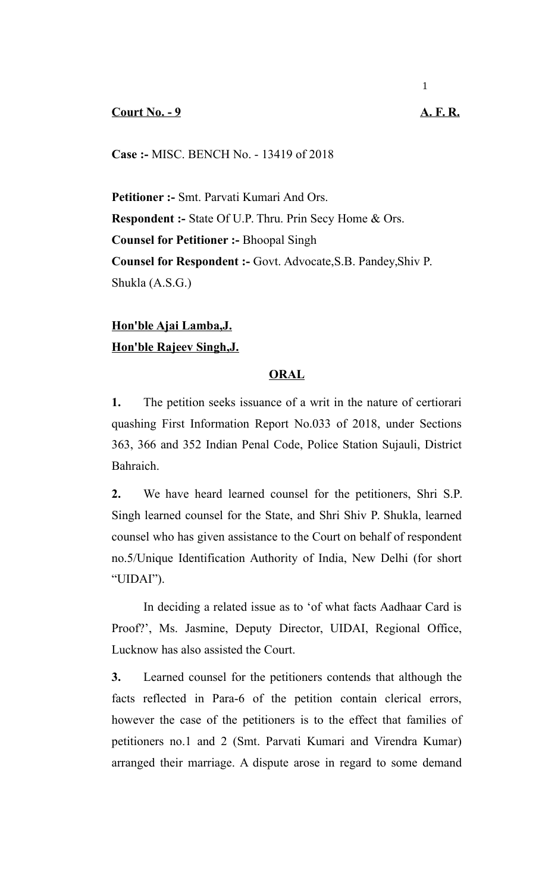## **Court No. - 9 A. F. R.**

**Case :-** MISC. BENCH No. - 13419 of 2018

**Petitioner :-** Smt. Parvati Kumari And Ors. **Respondent :-** State Of U.P. Thru. Prin Secy Home & Ors. **Counsel for Petitioner :-** Bhoopal Singh **Counsel for Respondent :-** Govt. Advocate,S.B. Pandey,Shiv P. Shukla (A.S.G.)

**Hon'ble Ajai Lamba,J. Hon'ble Rajeev Singh,J.**

## **ORAL**

**1.** The petition seeks issuance of a writ in the nature of certiorari quashing First Information Report No.033 of 2018, under Sections 363, 366 and 352 Indian Penal Code, Police Station Sujauli, District Bahraich.

**2.** We have heard learned counsel for the petitioners, Shri S.P. Singh learned counsel for the State, and Shri Shiv P. Shukla, learned counsel who has given assistance to the Court on behalf of respondent no.5/Unique Identification Authority of India, New Delhi (for short "UIDAI").

In deciding a related issue as to 'of what facts Aadhaar Card is Proof?', Ms. Jasmine, Deputy Director, UIDAI, Regional Office, Lucknow has also assisted the Court.

**3.** Learned counsel for the petitioners contends that although the facts reflected in Para-6 of the petition contain clerical errors, however the case of the petitioners is to the effect that families of petitioners no.1 and 2 (Smt. Parvati Kumari and Virendra Kumar) arranged their marriage. A dispute arose in regard to some demand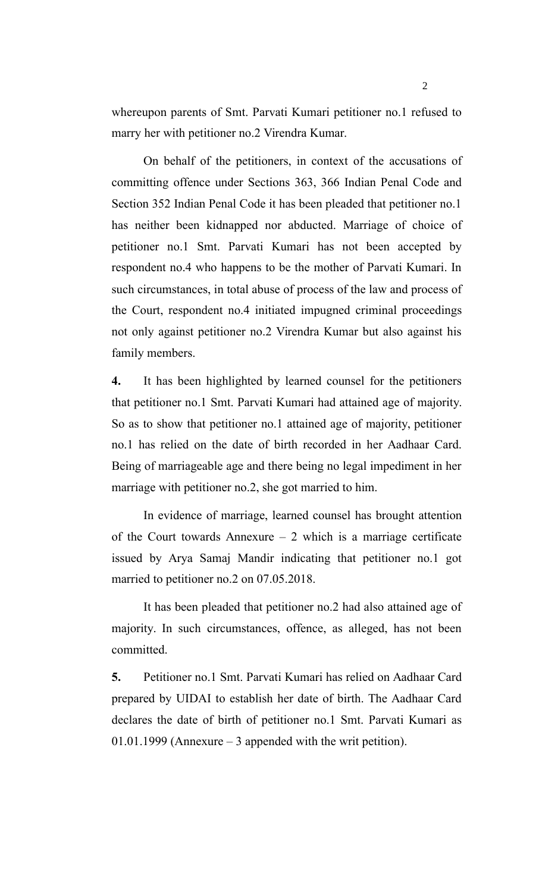whereupon parents of Smt. Parvati Kumari petitioner no.1 refused to marry her with petitioner no.2 Virendra Kumar.

On behalf of the petitioners, in context of the accusations of committing offence under Sections 363, 366 Indian Penal Code and Section 352 Indian Penal Code it has been pleaded that petitioner no.1 has neither been kidnapped nor abducted. Marriage of choice of petitioner no.1 Smt. Parvati Kumari has not been accepted by respondent no.4 who happens to be the mother of Parvati Kumari. In such circumstances, in total abuse of process of the law and process of the Court, respondent no.4 initiated impugned criminal proceedings not only against petitioner no.2 Virendra Kumar but also against his family members.

**4.** It has been highlighted by learned counsel for the petitioners that petitioner no.1 Smt. Parvati Kumari had attained age of majority. So as to show that petitioner no.1 attained age of majority, petitioner no.1 has relied on the date of birth recorded in her Aadhaar Card. Being of marriageable age and there being no legal impediment in her marriage with petitioner no.2, she got married to him.

In evidence of marriage, learned counsel has brought attention of the Court towards Annexure  $-2$  which is a marriage certificate issued by Arya Samaj Mandir indicating that petitioner no.1 got married to petitioner no.2 on 07.05.2018.

It has been pleaded that petitioner no.2 had also attained age of majority. In such circumstances, offence, as alleged, has not been committed.

**5.** Petitioner no.1 Smt. Parvati Kumari has relied on Aadhaar Card prepared by UIDAI to establish her date of birth. The Aadhaar Card declares the date of birth of petitioner no.1 Smt. Parvati Kumari as  $01.01.1999$  (Annexure – 3 appended with the writ petition).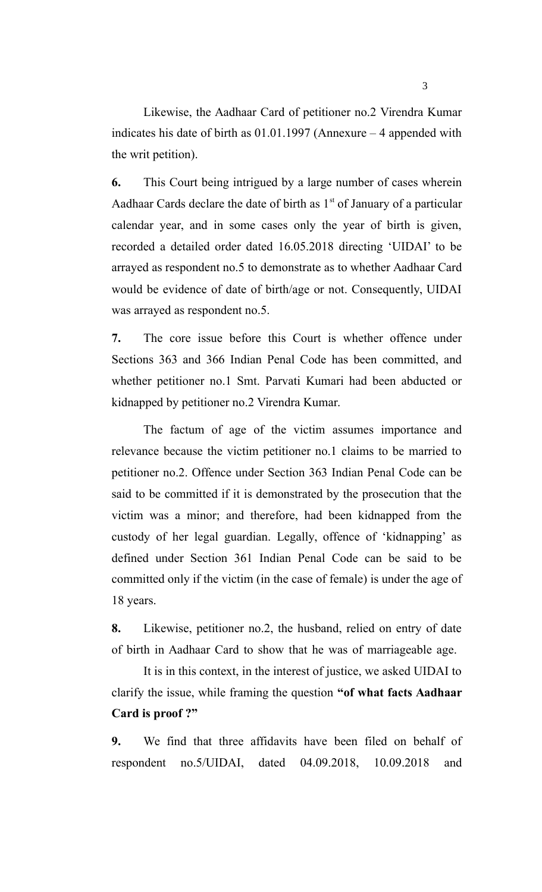Likewise, the Aadhaar Card of petitioner no.2 Virendra Kumar indicates his date of birth as 01.01.1997 (Annexure – 4 appended with the writ petition).

**6.** This Court being intrigued by a large number of cases wherein Aadhaar Cards declare the date of birth as  $1<sup>st</sup>$  of January of a particular calendar year, and in some cases only the year of birth is given, recorded a detailed order dated 16.05.2018 directing 'UIDAI' to be arrayed as respondent no.5 to demonstrate as to whether Aadhaar Card would be evidence of date of birth/age or not. Consequently, UIDAI was arrayed as respondent no.5.

**7.** The core issue before this Court is whether offence under Sections 363 and 366 Indian Penal Code has been committed, and whether petitioner no.1 Smt. Parvati Kumari had been abducted or kidnapped by petitioner no.2 Virendra Kumar.

The factum of age of the victim assumes importance and relevance because the victim petitioner no.1 claims to be married to petitioner no.2. Offence under Section 363 Indian Penal Code can be said to be committed if it is demonstrated by the prosecution that the victim was a minor; and therefore, had been kidnapped from the custody of her legal guardian. Legally, offence of 'kidnapping' as defined under Section 361 Indian Penal Code can be said to be committed only if the victim (in the case of female) is under the age of 18 years.

**8.** Likewise, petitioner no.2, the husband, relied on entry of date of birth in Aadhaar Card to show that he was of marriageable age.

It is in this context, in the interest of justice, we asked UIDAI to clarify the issue, while framing the question **"of what facts Aadhaar Card is proof ?"** 

**9.** We find that three affidavits have been filed on behalf of respondent no.5/UIDAI, dated 04.09.2018, 10.09.2018 and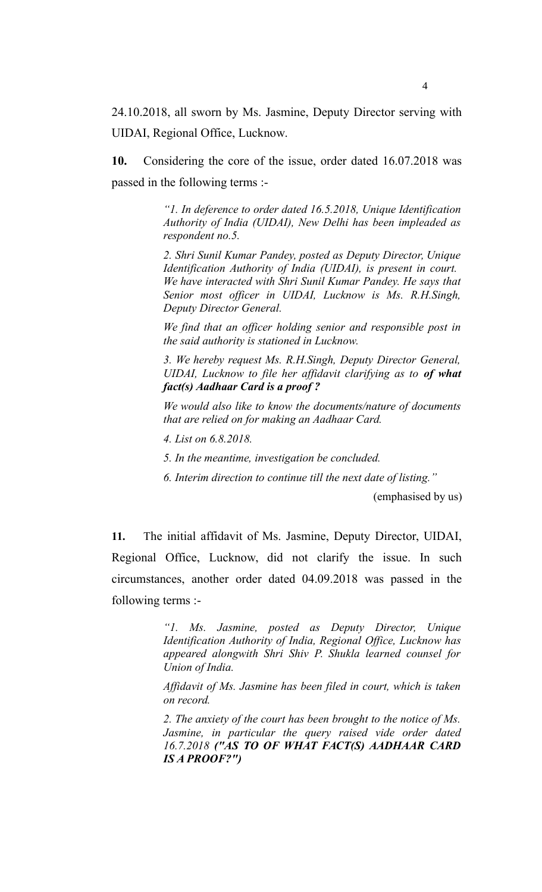24.10.2018, all sworn by Ms. Jasmine, Deputy Director serving with UIDAI, Regional Office, Lucknow.

**10.** Considering the core of the issue, order dated 16.07.2018 was passed in the following terms :-

> *"1. In deference to order dated 16.5.2018, Unique Identification Authority of India (UIDAI), New Delhi has been impleaded as respondent no.5.*

> *2. Shri Sunil Kumar Pandey, posted as Deputy Director, Unique Identification Authority of India (UIDAI), is present in court. We have interacted with Shri Sunil Kumar Pandey. He says that Senior most officer in UIDAI, Lucknow is Ms. R.H.Singh, Deputy Director General.*

> *We find that an officer holding senior and responsible post in the said authority is stationed in Lucknow.*

> *3. We hereby request Ms. R.H.Singh, Deputy Director General, UIDAI, Lucknow to file her affidavit clarifying as to of what fact(s) Aadhaar Card is a proof ?*

> *We would also like to know the documents/nature of documents that are relied on for making an Aadhaar Card.*

*4. List on 6.8.2018.*

*5. In the meantime, investigation be concluded.*

*6. Interim direction to continue till the next date of listing."*

(emphasised by us)

**11.** The initial affidavit of Ms. Jasmine, Deputy Director, UIDAI, Regional Office, Lucknow, did not clarify the issue. In such circumstances, another order dated 04.09.2018 was passed in the following terms :-

> *"1. Ms. Jasmine, posted as Deputy Director, Unique Identification Authority of India, Regional Office, Lucknow has appeared alongwith Shri Shiv P. Shukla learned counsel for Union of India.*

> *Affidavit of Ms. Jasmine has been filed in court, which is taken on record.*

> *2. The anxiety of the court has been brought to the notice of Ms. Jasmine, in particular the query raised vide order dated 16.7.2018 ("AS TO OF WHAT FACT(S) AADHAAR CARD IS A PROOF?")*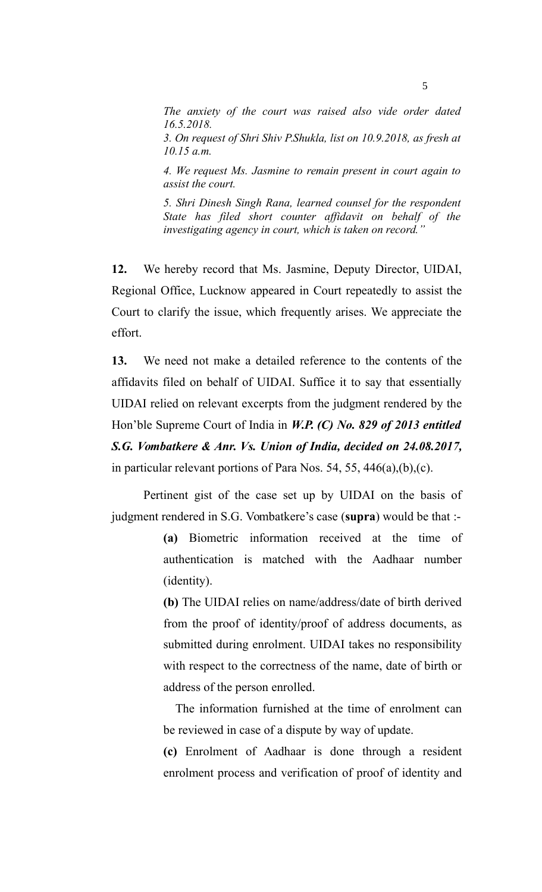*The anxiety of the court was raised also vide order dated 16.5.2018.* 

*3. On request of Shri Shiv P.Shukla, list on 10.9.2018, as fresh at 10.15 a.m.* 

*4. We request Ms. Jasmine to remain present in court again to assist the court.*

*5. Shri Dinesh Singh Rana, learned counsel for the respondent State has filed short counter affidavit on behalf of the investigating agency in court, which is taken on record."*

**12.** We hereby record that Ms. Jasmine, Deputy Director, UIDAI, Regional Office, Lucknow appeared in Court repeatedly to assist the Court to clarify the issue, which frequently arises. We appreciate the effort.

**13.** We need not make a detailed reference to the contents of the affidavits filed on behalf of UIDAI. Suffice it to say that essentially UIDAI relied on relevant excerpts from the judgment rendered by the Hon'ble Supreme Court of India in *W.P. (C) No. 829 of 2013 entitled S.G. Vombatkere & Anr. Vs. Union of India, decided on 24.08.2017,* in particular relevant portions of Para Nos. 54, 55, 446(a),(b),(c).

Pertinent gist of the case set up by UIDAI on the basis of judgment rendered in S.G. Vombatkere's case (**supra**) would be that :-

> **(a)** Biometric information received at the time of authentication is matched with the Aadhaar number (identity).

> **(b)** The UIDAI relies on name/address/date of birth derived from the proof of identity/proof of address documents, as submitted during enrolment. UIDAI takes no responsibility with respect to the correctness of the name, date of birth or address of the person enrolled.

> The information furnished at the time of enrolment can be reviewed in case of a dispute by way of update.

> **(c)** Enrolment of Aadhaar is done through a resident enrolment process and verification of proof of identity and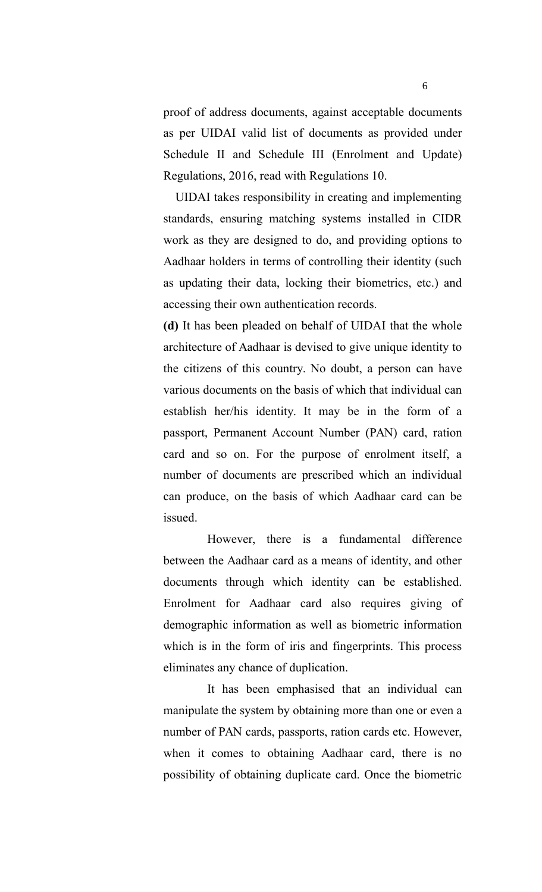proof of address documents, against acceptable documents as per UIDAI valid list of documents as provided under Schedule II and Schedule III (Enrolment and Update) Regulations, 2016, read with Regulations 10.

UIDAI takes responsibility in creating and implementing standards, ensuring matching systems installed in CIDR work as they are designed to do, and providing options to Aadhaar holders in terms of controlling their identity (such as updating their data, locking their biometrics, etc.) and accessing their own authentication records.

**(d)** It has been pleaded on behalf of UIDAI that the whole architecture of Aadhaar is devised to give unique identity to the citizens of this country. No doubt, a person can have various documents on the basis of which that individual can establish her/his identity. It may be in the form of a passport, Permanent Account Number (PAN) card, ration card and so on. For the purpose of enrolment itself, a number of documents are prescribed which an individual can produce, on the basis of which Aadhaar card can be issued.

However, there is a fundamental difference between the Aadhaar card as a means of identity, and other documents through which identity can be established. Enrolment for Aadhaar card also requires giving of demographic information as well as biometric information which is in the form of iris and fingerprints. This process eliminates any chance of duplication.

It has been emphasised that an individual can manipulate the system by obtaining more than one or even a number of PAN cards, passports, ration cards etc. However, when it comes to obtaining Aadhaar card, there is no possibility of obtaining duplicate card. Once the biometric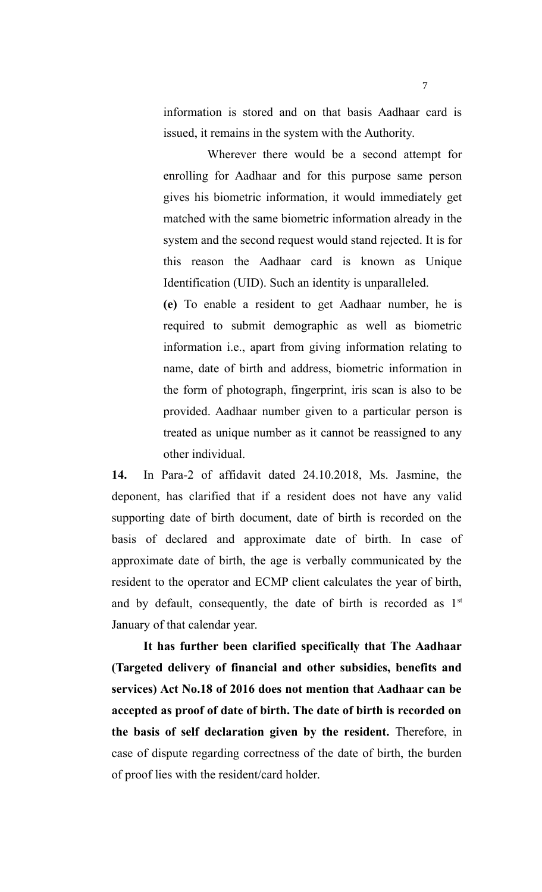information is stored and on that basis Aadhaar card is issued, it remains in the system with the Authority.

Wherever there would be a second attempt for enrolling for Aadhaar and for this purpose same person gives his biometric information, it would immediately get matched with the same biometric information already in the system and the second request would stand rejected. It is for this reason the Aadhaar card is known as Unique Identification (UID). Such an identity is unparalleled.

**(e)** To enable a resident to get Aadhaar number, he is required to submit demographic as well as biometric information i.e., apart from giving information relating to name, date of birth and address, biometric information in the form of photograph, fingerprint, iris scan is also to be provided. Aadhaar number given to a particular person is treated as unique number as it cannot be reassigned to any other individual.

**14.** In Para-2 of affidavit dated 24.10.2018, Ms. Jasmine, the deponent, has clarified that if a resident does not have any valid supporting date of birth document, date of birth is recorded on the basis of declared and approximate date of birth. In case of approximate date of birth, the age is verbally communicated by the resident to the operator and ECMP client calculates the year of birth, and by default, consequently, the date of birth is recorded as  $1<sup>st</sup>$ January of that calendar year.

**It has further been clarified specifically that The Aadhaar (Targeted delivery of financial and other subsidies, benefits and services) Act No.18 of 2016 does not mention that Aadhaar can be accepted as proof of date of birth. The date of birth is recorded on the basis of self declaration given by the resident.** Therefore, in case of dispute regarding correctness of the date of birth, the burden of proof lies with the resident/card holder.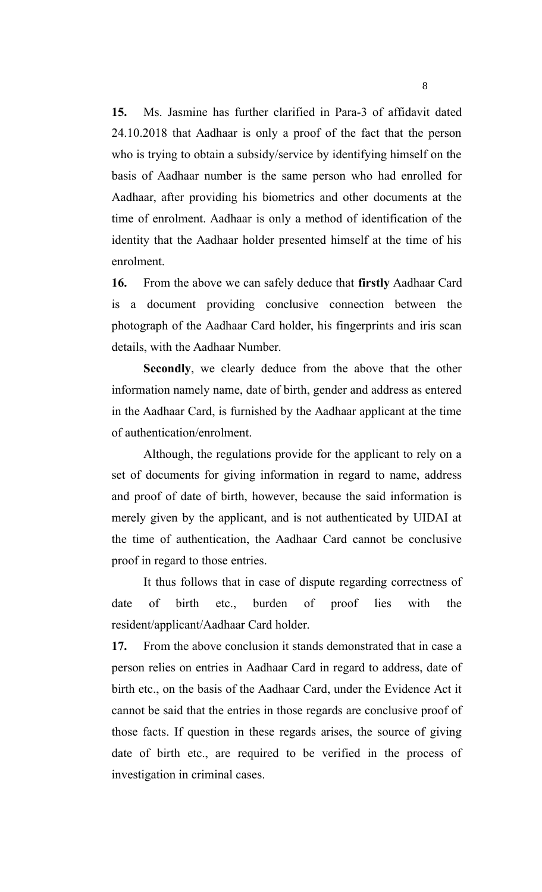**15.** Ms. Jasmine has further clarified in Para-3 of affidavit dated 24.10.2018 that Aadhaar is only a proof of the fact that the person who is trying to obtain a subsidy/service by identifying himself on the basis of Aadhaar number is the same person who had enrolled for Aadhaar, after providing his biometrics and other documents at the time of enrolment. Aadhaar is only a method of identification of the identity that the Aadhaar holder presented himself at the time of his enrolment.

**16.** From the above we can safely deduce that **firstly** Aadhaar Card is a document providing conclusive connection between the photograph of the Aadhaar Card holder, his fingerprints and iris scan details, with the Aadhaar Number.

**Secondly**, we clearly deduce from the above that the other information namely name, date of birth, gender and address as entered in the Aadhaar Card, is furnished by the Aadhaar applicant at the time of authentication/enrolment.

Although, the regulations provide for the applicant to rely on a set of documents for giving information in regard to name, address and proof of date of birth, however, because the said information is merely given by the applicant, and is not authenticated by UIDAI at the time of authentication, the Aadhaar Card cannot be conclusive proof in regard to those entries.

It thus follows that in case of dispute regarding correctness of date of birth etc., burden of proof lies with the resident/applicant/Aadhaar Card holder.

**17.** From the above conclusion it stands demonstrated that in case a person relies on entries in Aadhaar Card in regard to address, date of birth etc., on the basis of the Aadhaar Card, under the Evidence Act it cannot be said that the entries in those regards are conclusive proof of those facts. If question in these regards arises, the source of giving date of birth etc., are required to be verified in the process of investigation in criminal cases.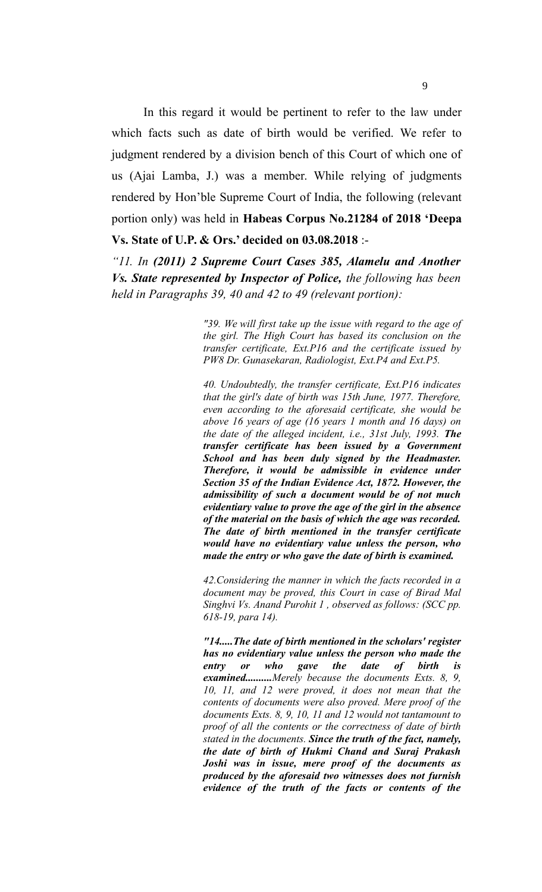In this regard it would be pertinent to refer to the law under which facts such as date of birth would be verified. We refer to judgment rendered by a division bench of this Court of which one of us (Ajai Lamba, J.) was a member. While relying of judgments rendered by Hon'ble Supreme Court of India, the following (relevant portion only) was held in **Habeas Corpus No.21284 of 2018 'Deepa Vs. State of U.P. & Ors.' decided on 03.08.2018** :-

*"11. In (2011) 2 Supreme Court Cases 385, Alamelu and Another Vs. State represented by Inspector of Police, the following has been held in Paragraphs 39, 40 and 42 to 49 (relevant portion):*

> *"39. We will first take up the issue with regard to the age of the girl. The High Court has based its conclusion on the transfer certificate, Ext.P16 and the certificate issued by PW8 Dr. Gunasekaran, Radiologist, Ext.P4 and Ext.P5.*

> *40. Undoubtedly, the transfer certificate, Ext.P16 indicates that the girl's date of birth was 15th June, 1977. Therefore, even according to the aforesaid certificate, she would be above 16 years of age (16 years 1 month and 16 days) on the date of the alleged incident, i.e., 31st July, 1993. The transfer certificate has been issued by a Government School and has been duly signed by the Headmaster. Therefore, it would be admissible in evidence under Section 35 of the Indian Evidence Act, 1872. However, the admissibility of such a document would be of not much evidentiary value to prove the age of the girl in the absence of the material on the basis of which the age was recorded. The date of birth mentioned in the transfer certificate would have no evidentiary value unless the person, who made the entry or who gave the date of birth is examined.*

> *42.Considering the manner in which the facts recorded in a document may be proved, this Court in case of Birad Mal Singhvi Vs. Anand Purohit 1 , observed as follows: (SCC pp. 618-19, para 14).*

> *"14.....The date of birth mentioned in the scholars' register has no evidentiary value unless the person who made the entry or who gave the date of birth is examined..........Merely because the documents Exts. 8, 9, 10, 11, and 12 were proved, it does not mean that the contents of documents were also proved. Mere proof of the documents Exts. 8, 9, 10, 11 and 12 would not tantamount to proof of all the contents or the correctness of date of birth stated in the documents. Since the truth of the fact, namely, the date of birth of Hukmi Chand and Suraj Prakash Joshi was in issue, mere proof of the documents as produced by the aforesaid two witnesses does not furnish evidence of the truth of the facts or contents of the*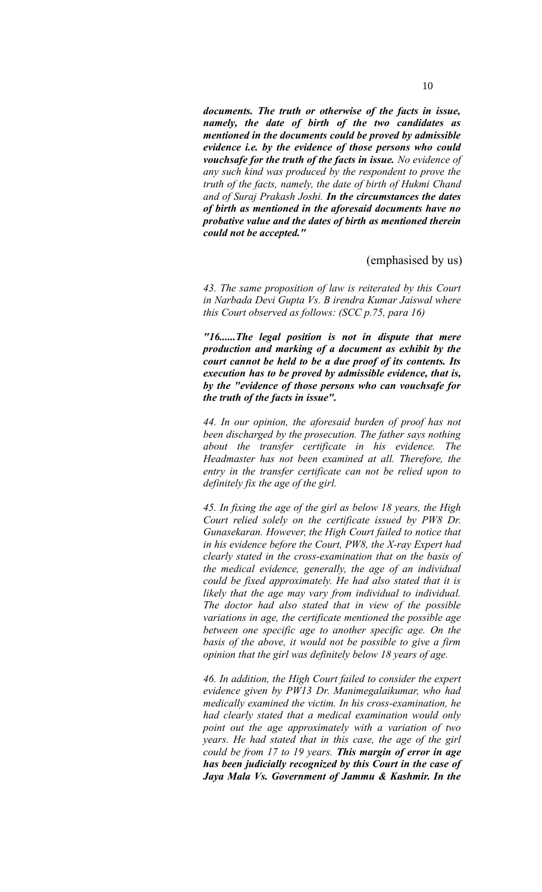*documents. The truth or otherwise of the facts in issue, namely, the date of birth of the two candidates as mentioned in the documents could be proved by admissible evidence i.e. by the evidence of those persons who could vouchsafe for the truth of the facts in issue. No evidence of any such kind was produced by the respondent to prove the truth of the facts, namely, the date of birth of Hukmi Chand and of Suraj Prakash Joshi. In the circumstances the dates of birth as mentioned in the aforesaid documents have no probative value and the dates of birth as mentioned therein could not be accepted."*

#### (emphasised by us)

*43. The same proposition of law is reiterated by this Court in Narbada Devi Gupta Vs. B irendra Kumar Jaiswal where this Court observed as follows: (SCC p.75, para 16)*

*"16......The legal position is not in dispute that mere production and marking of a document as exhibit by the court cannot be held to be a due proof of its contents. Its execution has to be proved by admissible evidence, that is, by the "evidence of those persons who can vouchsafe for the truth of the facts in issue".*

*44. In our opinion, the aforesaid burden of proof has not been discharged by the prosecution. The father says nothing about the transfer certificate in his evidence. The Headmaster has not been examined at all. Therefore, the entry in the transfer certificate can not be relied upon to definitely fix the age of the girl.*

*45. In fixing the age of the girl as below 18 years, the High Court relied solely on the certificate issued by PW8 Dr. Gunasekaran. However, the High Court failed to notice that in his evidence before the Court, PW8, the X-ray Expert had clearly stated in the cross-examination that on the basis of the medical evidence, generally, the age of an individual could be fixed approximately. He had also stated that it is likely that the age may vary from individual to individual. The doctor had also stated that in view of the possible variations in age, the certificate mentioned the possible age between one specific age to another specific age. On the basis of the above, it would not be possible to give a firm opinion that the girl was definitely below 18 years of age.*

*46. In addition, the High Court failed to consider the expert evidence given by PW13 Dr. Manimegalaikumar, who had medically examined the victim. In his cross-examination, he had clearly stated that a medical examination would only point out the age approximately with a variation of two years. He had stated that in this case, the age of the girl could be from 17 to 19 years. This margin of error in age has been judicially recognized by this Court in the case of Jaya Mala Vs. Government of Jammu & Kashmir. In the*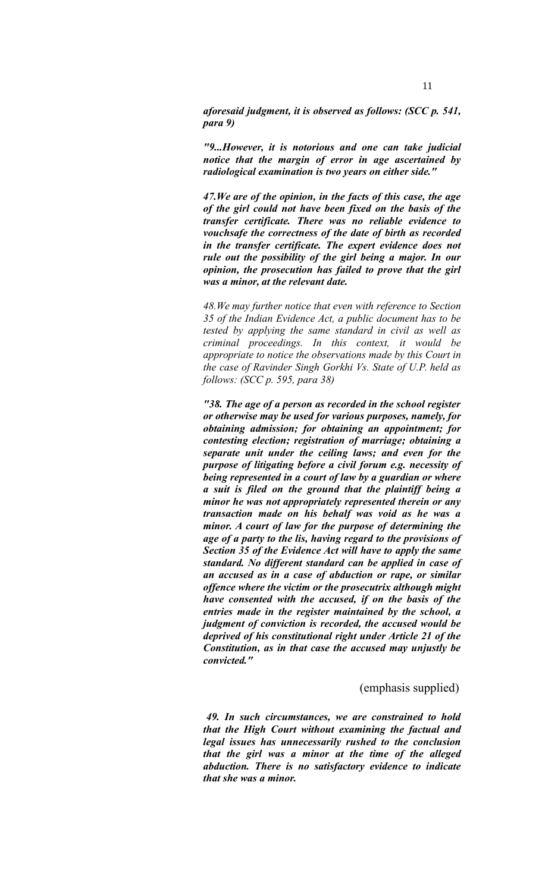*aforesaid judgment, it is observed as follows: (SCC p. 541, para 9)*

*"9...However, it is notorious and one can take judicial notice that the margin of error in age ascertained by radiological examination is two years on either side."*

*47.We are of the opinion, in the facts of this case, the age of the girl could not have been fixed on the basis of the transfer certificate. There was no reliable evidence to vouchsafe the correctness of the date of birth as recorded in the transfer certificate. The expert evidence does not rule out the possibility of the girl being a major. In our opinion, the prosecution has failed to prove that the girl was a minor, at the relevant date.* 

*48.We may further notice that even with reference to Section 35 of the Indian Evidence Act, a public document has to be tested by applying the same standard in civil as well as criminal proceedings. In this context, it would be appropriate to notice the observations made by this Court in the case of Ravinder Singh Gorkhi Vs. State of U.P. held as follows: (SCC p. 595, para 38)*

*"38. The age of a person as recorded in the school register or otherwise may be used for various purposes, namely, for obtaining admission; for obtaining an appointment; for contesting election; registration of marriage; obtaining a separate unit under the ceiling laws; and even for the purpose of litigating before a civil forum e.g. necessity of being represented in a court of law by a guardian or where a suit is filed on the ground that the plaintiff being a minor he was not appropriately represented therein or any transaction made on his behalf was void as he was a minor. A court of law for the purpose of determining the age of a party to the lis, having regard to the provisions of Section 35 of the Evidence Act will have to apply the same standard. No different standard can be applied in case of an accused as in a case of abduction or rape, or similar offence where the victim or the prosecutrix although might have consented with the accused, if on the basis of the entries made in the register maintained by the school, a judgment of conviction is recorded, the accused would be deprived of his constitutional right under Article 21 of the Constitution, as in that case the accused may unjustly be convicted."*

### (emphasis supplied)

*49. In such circumstances, we are constrained to hold that the High Court without examining the factual and legal issues has unnecessarily rushed to the conclusion that the girl was a minor at the time of the alleged abduction. There is no satisfactory evidence to indicate that she was a minor.*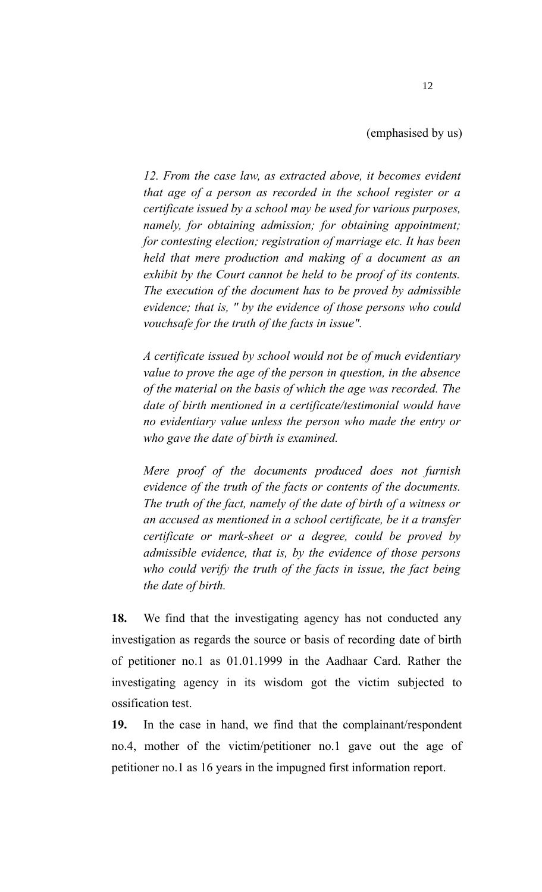*12. From the case law, as extracted above, it becomes evident that age of a person as recorded in the school register or a certificate issued by a school may be used for various purposes, namely, for obtaining admission; for obtaining appointment; for contesting election; registration of marriage etc. It has been held that mere production and making of a document as an exhibit by the Court cannot be held to be proof of its contents. The execution of the document has to be proved by admissible evidence; that is, " by the evidence of those persons who could vouchsafe for the truth of the facts in issue".*

*A certificate issued by school would not be of much evidentiary value to prove the age of the person in question, in the absence of the material on the basis of which the age was recorded. The date of birth mentioned in a certificate/testimonial would have no evidentiary value unless the person who made the entry or who gave the date of birth is examined.*

*Mere proof of the documents produced does not furnish evidence of the truth of the facts or contents of the documents. The truth of the fact, namely of the date of birth of a witness or an accused as mentioned in a school certificate, be it a transfer certificate or mark-sheet or a degree, could be proved by admissible evidence, that is, by the evidence of those persons who could verify the truth of the facts in issue, the fact being the date of birth.*

**18.** We find that the investigating agency has not conducted any investigation as regards the source or basis of recording date of birth of petitioner no.1 as 01.01.1999 in the Aadhaar Card. Rather the investigating agency in its wisdom got the victim subjected to ossification test.

**19.** In the case in hand, we find that the complainant/respondent no.4, mother of the victim/petitioner no.1 gave out the age of petitioner no.1 as 16 years in the impugned first information report.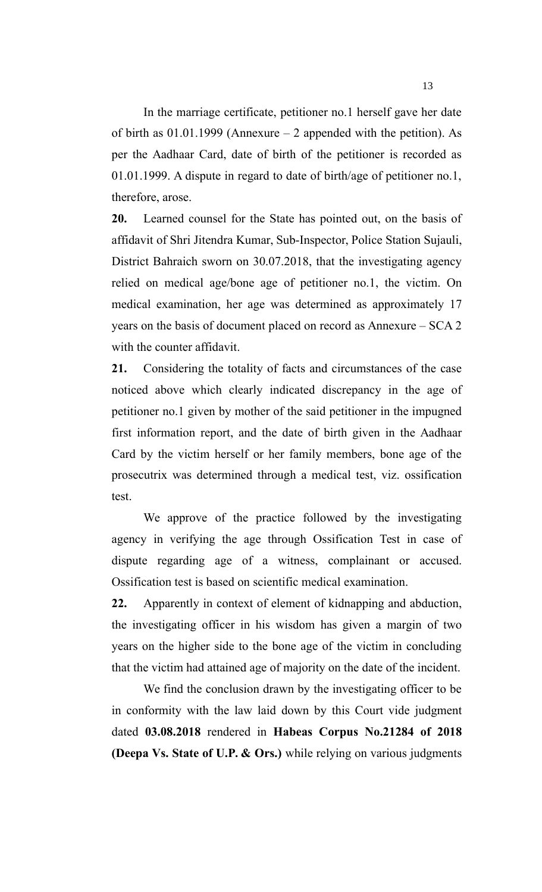In the marriage certificate, petitioner no.1 herself gave her date of birth as  $01.01.1999$  (Annexure – 2 appended with the petition). As per the Aadhaar Card, date of birth of the petitioner is recorded as 01.01.1999. A dispute in regard to date of birth/age of petitioner no.1, therefore, arose.

**20.** Learned counsel for the State has pointed out, on the basis of affidavit of Shri Jitendra Kumar, Sub-Inspector, Police Station Sujauli, District Bahraich sworn on 30.07.2018, that the investigating agency relied on medical age/bone age of petitioner no.1, the victim. On medical examination, her age was determined as approximately 17 years on the basis of document placed on record as Annexure – SCA 2 with the counter affidavit.

**21.** Considering the totality of facts and circumstances of the case noticed above which clearly indicated discrepancy in the age of petitioner no.1 given by mother of the said petitioner in the impugned first information report, and the date of birth given in the Aadhaar Card by the victim herself or her family members, bone age of the prosecutrix was determined through a medical test, viz. ossification test.

We approve of the practice followed by the investigating agency in verifying the age through Ossification Test in case of dispute regarding age of a witness, complainant or accused. Ossification test is based on scientific medical examination.

**22.** Apparently in context of element of kidnapping and abduction, the investigating officer in his wisdom has given a margin of two years on the higher side to the bone age of the victim in concluding that the victim had attained age of majority on the date of the incident.

We find the conclusion drawn by the investigating officer to be in conformity with the law laid down by this Court vide judgment dated **03.08.2018** rendered in **Habeas Corpus No.21284 of 2018 (Deepa Vs. State of U.P. & Ors.)** while relying on various judgments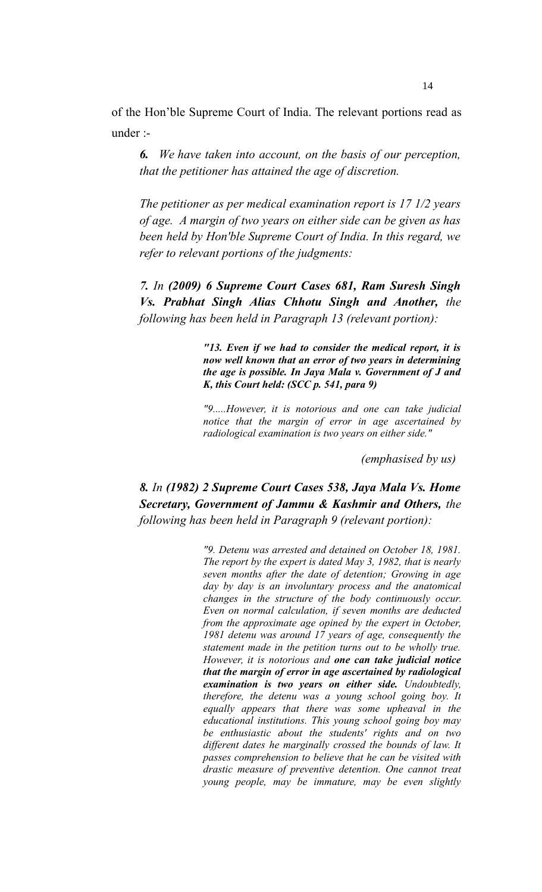of the Hon'ble Supreme Court of India. The relevant portions read as under :-

*6. We have taken into account, on the basis of our perception, that the petitioner has attained the age of discretion.*

*The petitioner as per medical examination report is 17 1/2 years of age. A margin of two years on either side can be given as has been held by Hon'ble Supreme Court of India. In this regard, we refer to relevant portions of the judgments:* 

*7. In (2009) 6 Supreme Court Cases 681, Ram Suresh Singh Vs. Prabhat Singh Alias Chhotu Singh and Another, the following has been held in Paragraph 13 (relevant portion):*

> *"13. Even if we had to consider the medical report, it is now well known that an error of two years in determining the age is possible. In Jaya Mala v. Government of J and K, this Court held: (SCC p. 541, para 9)*

> *"9.....However, it is notorious and one can take judicial notice that the margin of error in age ascertained by radiological examination is two years on either side."*

> > *(emphasised by us)*

# *8. In (1982) 2 Supreme Court Cases 538, Jaya Mala Vs. Home Secretary, Government of Jammu & Kashmir and Others, the following has been held in Paragraph 9 (relevant portion):*

*"9. Detenu was arrested and detained on October 18, 1981. The report by the expert is dated May 3, 1982, that is nearly seven months after the date of detention; Growing in age day by day is an involuntary process and the anatomical changes in the structure of the body continuously occur. Even on normal calculation, if seven months are deducted from the approximate age opined by the expert in October, 1981 detenu was around 17 years of age, consequently the statement made in the petition turns out to be wholly true. However, it is notorious and one can take judicial notice that the margin of error in age ascertained by radiological examination is two years on either side. Undoubtedly, therefore, the detenu was a young school going boy. It equally appears that there was some upheaval in the educational institutions. This young school going boy may be enthusiastic about the students' rights and on two different dates he marginally crossed the bounds of law. It passes comprehension to believe that he can be visited with drastic measure of preventive detention. One cannot treat young people, may be immature, may be even slightly*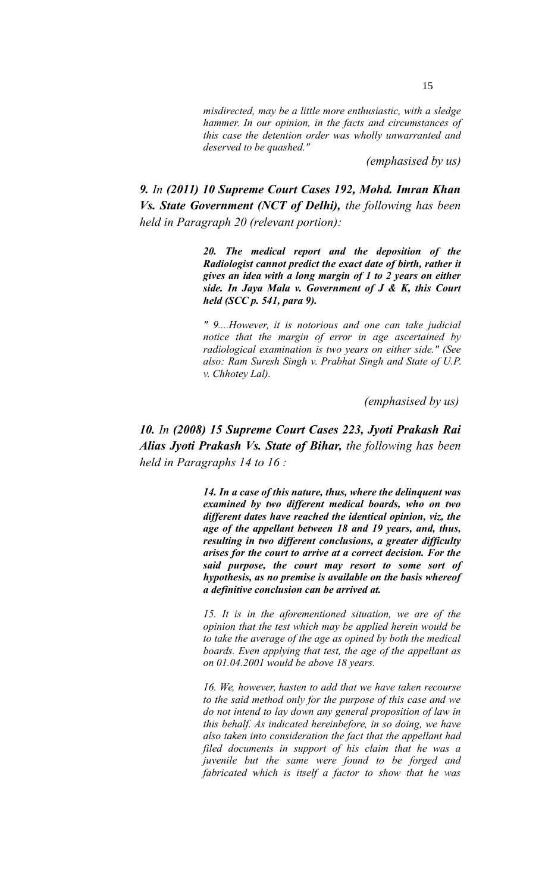*misdirected, may be a little more enthusiastic, with a sledge hammer. In our opinion, in the facts and circumstances of this case the detention order was wholly unwarranted and deserved to be quashed."*

*(emphasised by us)*

*9. In (2011) 10 Supreme Court Cases 192, Mohd. Imran Khan Vs. State Government (NCT of Delhi), the following has been held in Paragraph 20 (relevant portion):*

> *20. The medical report and the deposition of the Radiologist cannot predict the exact date of birth, rather it gives an idea with a long margin of 1 to 2 years on either side. In Jaya Mala v. Government of J & K, this Court held (SCC p. 541, para 9).*

> *" 9....However, it is notorious and one can take judicial notice that the margin of error in age ascertained by radiological examination is two years on either side." (See also: Ram Suresh Singh v. Prabhat Singh and State of U.P. v. Chhotey Lal).*

> > *(emphasised by us)*

# *10. In (2008) 15 Supreme Court Cases 223, Jyoti Prakash Rai Alias Jyoti Prakash Vs. State of Bihar, the following has been held in Paragraphs 14 to 16 :*

*14. In a case of this nature, thus, where the delinquent was examined by two different medical boards, who on two different dates have reached the identical opinion, viz, the age of the appellant between 18 and 19 years, and, thus, resulting in two different conclusions, a greater difficulty arises for the court to arrive at a correct decision. For the said purpose, the court may resort to some sort of hypothesis, as no premise is available on the basis whereof a definitive conclusion can be arrived at.*

*15. It is in the aforementioned situation, we are of the opinion that the test which may be applied herein would be to take the average of the age as opined by both the medical boards. Even applying that test, the age of the appellant as on 01.04.2001 would be above 18 years.*

*16. We, however, hasten to add that we have taken recourse to the said method only for the purpose of this case and we do not intend to lay down any general proposition of law in this behalf. As indicated hereinbefore, in so doing, we have also taken into consideration the fact that the appellant had filed documents in support of his claim that he was a juvenile but the same were found to be forged and fabricated which is itself a factor to show that he was*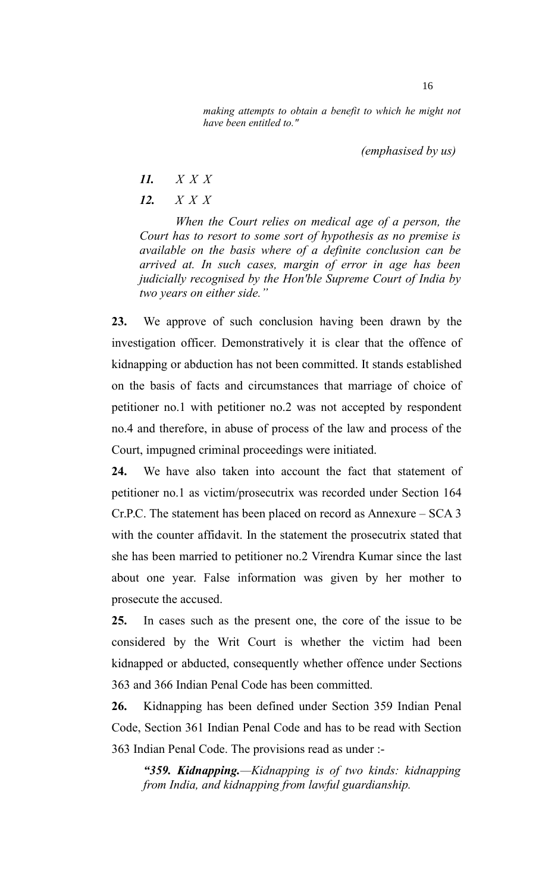*making attempts to obtain a benefit to which he might not have been entitled to."*

*(emphasised by us)*

- *11. X X X*
- *12. X X X*

*When the Court relies on medical age of a person, the Court has to resort to some sort of hypothesis as no premise is available on the basis where of a definite conclusion can be arrived at. In such cases, margin of error in age has been judicially recognised by the Hon'ble Supreme Court of India by two years on either side."* 

**23.** We approve of such conclusion having been drawn by the investigation officer. Demonstratively it is clear that the offence of kidnapping or abduction has not been committed. It stands established on the basis of facts and circumstances that marriage of choice of petitioner no.1 with petitioner no.2 was not accepted by respondent no.4 and therefore, in abuse of process of the law and process of the Court, impugned criminal proceedings were initiated.

**24.** We have also taken into account the fact that statement of petitioner no.1 as victim/prosecutrix was recorded under Section 164 Cr.P.C. The statement has been placed on record as Annexure – SCA 3 with the counter affidavit. In the statement the prosecutrix stated that she has been married to petitioner no.2 Virendra Kumar since the last about one year. False information was given by her mother to prosecute the accused.

**25.** In cases such as the present one, the core of the issue to be considered by the Writ Court is whether the victim had been kidnapped or abducted, consequently whether offence under Sections 363 and 366 Indian Penal Code has been committed.

**26.** Kidnapping has been defined under Section 359 Indian Penal Code, Section 361 Indian Penal Code and has to be read with Section 363 Indian Penal Code. The provisions read as under :-

*"359. Kidnapping.—Kidnapping is of two kinds: kidnapping from India, and kidnapping from lawful guardianship.*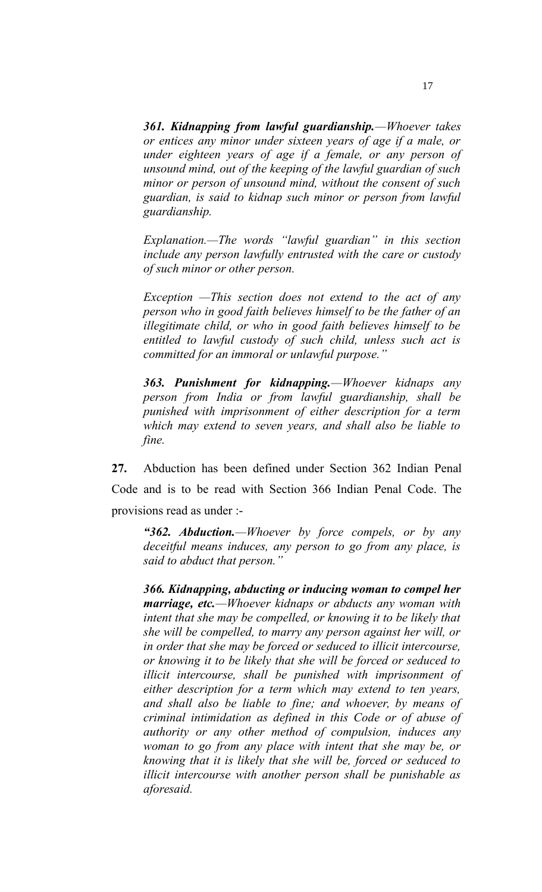*361. Kidnapping from lawful guardianship.—Whoever takes or entices any minor under sixteen years of age if a male, or under eighteen years of age if a female, or any person of unsound mind, out of the keeping of the lawful guardian of such minor or person of unsound mind, without the consent of such guardian, is said to kidnap such minor or person from lawful guardianship.* 

*Explanation.—The words "lawful guardian" in this section include any person lawfully entrusted with the care or custody of such minor or other person.*

*[Exception](https://indiankanoon.org/doc/113974146/) —This section does not extend to the act of any person who in good faith believes himself to be the father of an illegitimate child, or who in good faith believes himself to be entitled to lawful custody of such child, unless such act is committed for an immoral or unlawful purpose."*

*363. Punishment for kidnapping.—Whoever kidnaps any person from India or from lawful guardianship, shall be punished with imprisonment of either description for a term which may extend to seven years, and shall also be liable to fine.*

**27.** Abduction has been defined under Section 362 Indian Penal Code and is to be read with Section 366 Indian Penal Code. The provisions read as under :-

*"362. Abduction.—Whoever by force compels, or by any deceitful means induces, any person to go from any place, is said to abduct that person."*

*366. Kidnapping, abducting or inducing woman to compel her marriage, etc.—Whoever kidnaps or abducts any woman with intent that she may be compelled, or knowing it to be likely that she will be compelled, to marry any person against her will, or in order that she may be forced or seduced to illicit intercourse, or knowing it to be likely that she will be forced or seduced to illicit intercourse, shall be punished with imprisonment of either description for a term which may extend to ten years, and shall also be liable to fine; and whoever, by means of criminal intimidation as defined in this Code or of abuse of authority or any other method of compulsion, induces any woman to go from any place with intent that she may be, or knowing that it is likely that she will be, forced or seduced to illicit intercourse with another person shall be punishable as aforesaid.*